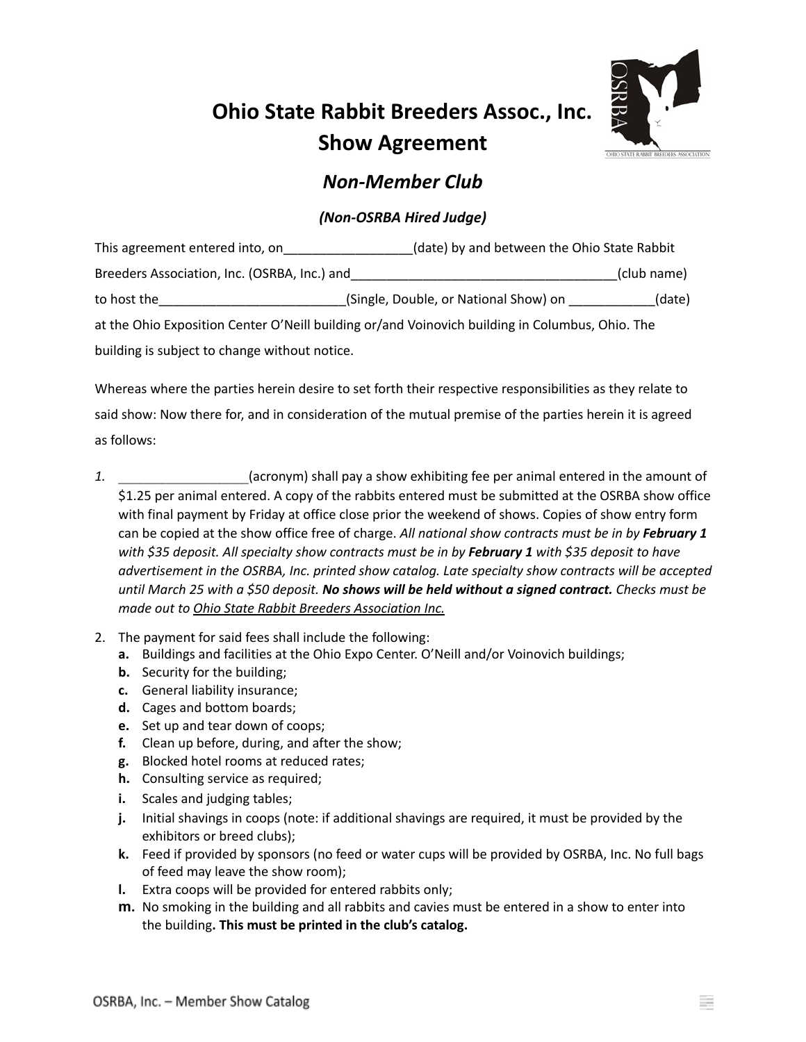## **Ohio State Rabbit Breeders Assoc., Inc. Show Agreement**



## *Non-Member Club*

## *(Non-OSRBA Hired Judge)*

| This agreement entered into, on               | (date) by and between the Ohio State Rabbit                                                     |             |
|-----------------------------------------------|-------------------------------------------------------------------------------------------------|-------------|
| Breeders Association, Inc. (OSRBA, Inc.) and  |                                                                                                 | (club name) |
| to host the                                   | (Single, Double, or National Show) on                                                           | (date)      |
|                                               | at the Ohio Exposition Center O'Neill building or/and Voinovich building in Columbus, Ohio. The |             |
| building is subject to change without notice. |                                                                                                 |             |

Whereas where the parties herein desire to set forth their respective responsibilities as they relate to said show: Now there for, and in consideration of the mutual premise of the parties herein it is agreed as follows:

- *1.* \_\_\_\_\_\_\_\_\_\_\_\_\_\_\_\_\_\_(acronym) shall pay a show exhibiting fee per animal entered in the amount of \$1.25 per animal entered. A copy of the rabbits entered must be submitted at the OSRBA show office with final payment by Friday at office close prior the weekend of shows. Copies of show entry form can be copied at the show office free of charge. *All national show contracts must be in by February 1 with \$35 deposit. All specialty show contracts must be in by February 1 with \$35 deposit to have advertisement in the OSRBA, Inc. printed show catalog. Late specialty show contracts will be accepted* until March 25 with a \$50 deposit. No shows will be held without a signed contract. Checks must be *made out to Ohio State Rabbit Breeders Association Inc.*
- 2. The payment for said fees shall include the following:
	- **a.** Buildings and facilities at the Ohio Expo Center. O'Neill and/or Voinovich buildings;
	- **b.** Security for the building;
	- **c.** General liability insurance;
	- **d.** Cages and bottom boards;
	- **e.** Set up and tear down of coops;
	- **f.** Clean up before, during, and after the show;
	- **g.** Blocked hotel rooms at reduced rates;
	- **h.** Consulting service as required;
	- **i.** Scales and judging tables;
	- **j.** Initial shavings in coops (note: if additional shavings are required, it must be provided by the exhibitors or breed clubs);
	- **k.** Feed if provided by sponsors (no feed or water cups will be provided by OSRBA, Inc. No full bags of feed may leave the show room);
	- **l.** Extra coops will be provided for entered rabbits only;
	- **m.** No smoking in the building and all rabbits and cavies must be entered in a show to enter into the building**. This must be printed in the club's catalog.**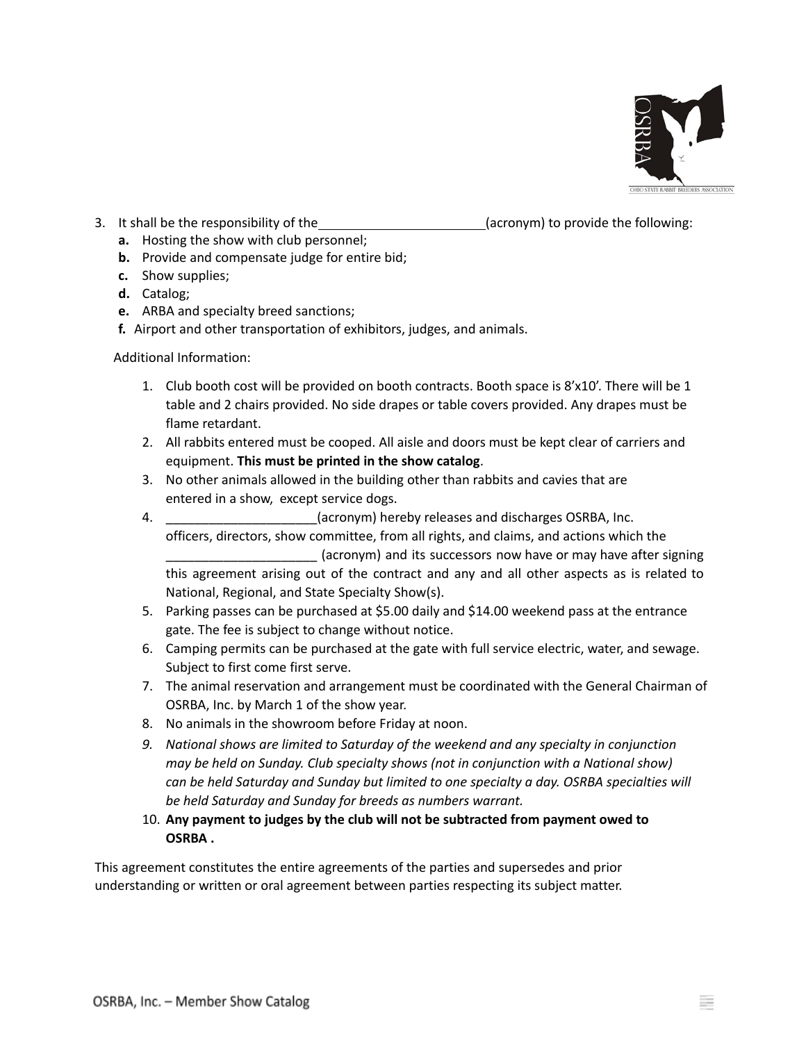

- 3. It shall be the responsibility of the (acronym) to provide the following:
- - **a.** Hosting the show with club personnel;
	- **b.** Provide and compensate judge for entire bid;
	- **c.** Show supplies;
	- **d.** Catalog;
	- **e.** ARBA and specialty breed sanctions;
	- **f.** Airport and other transportation of exhibitors, judges, and animals.

Additional Information:

- 1. Club booth cost will be provided on booth contracts. Booth space is 8'x10'. There will be 1 table and 2 chairs provided. No side drapes or table covers provided. Any drapes must be flame retardant.
- 2. All rabbits entered must be cooped. All aisle and doors must be kept clear of carriers and equipment. **This must be printed in the show catalog**.
- 3. No other animals allowed in the building other than rabbits and cavies that are entered in a show, except service dogs.
- 4. \_\_\_\_\_\_\_\_\_\_\_\_\_\_\_\_\_\_\_\_\_(acronym) hereby releases and discharges OSRBA, Inc. officers, directors, show committee, from all rights, and claims, and actions which the \_\_\_\_\_\_\_\_\_\_\_\_\_\_\_\_\_\_\_\_\_ (acronym) and its successors now have or may have after signing this agreement arising out of the contract and any and all other aspects as is related to National, Regional, and State Specialty Show(s).
- 5. Parking passes can be purchased at \$5.00 daily and \$14.00 weekend pass at the entrance gate. The fee is subject to change without notice.
- 6. Camping permits can be purchased at the gate with full service electric, water, and sewage. Subject to first come first serve.
- 7. The animal reservation and arrangement must be coordinated with the General Chairman of OSRBA, Inc. by March 1 of the show year.
- 8. No animals in the showroom before Friday at noon.
- *9. National shows are limited to Saturday of the weekend and any specialty in conjunction may be held on Sunday. Club specialty shows (not in conjunction with a National show) can be held Saturday and Sunday but limited to one specialty a day. OSRBA specialties will be held Saturday and Sunday for breeds as numbers warrant.*
- 10. **Any payment to judges by the club will not be subtracted from payment owed to OSRBA .**

This agreement constitutes the entire agreements of the parties and supersedes and prior understanding or written or oral agreement between parties respecting its subject matter.